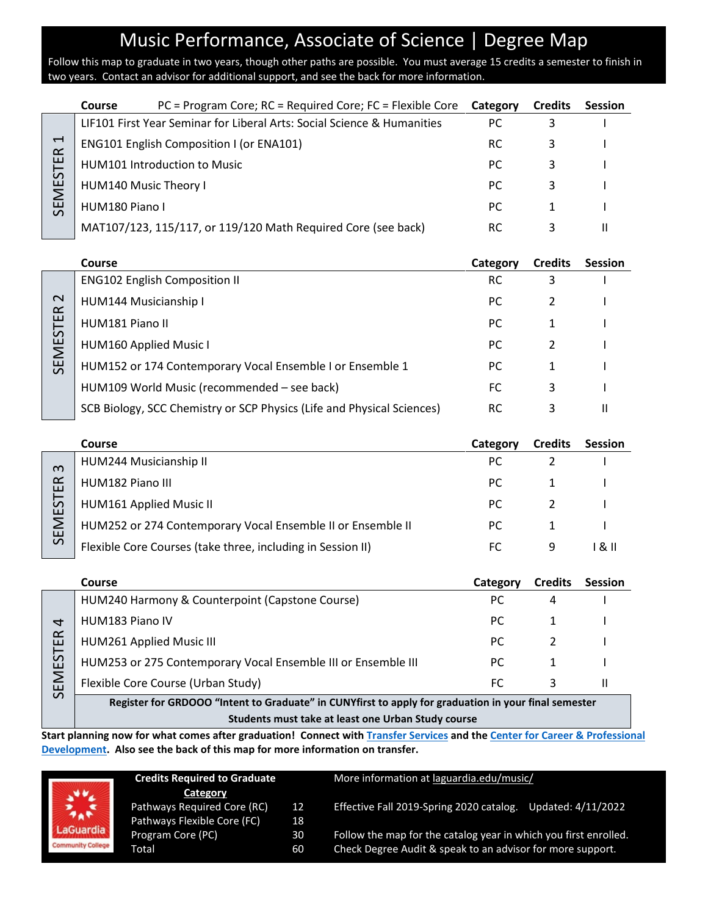## Music Performance, Associate of Science | Degree Map

Follow this map to graduate in two years, though other paths are possible. You must average 15 credits a semester to finish in two years. Contact an advisor for additional support, and see the back for more information.

|                                                                 | <b>Course</b>         | $PC$ = Program Core; RC = Required Core; FC = Flexible Core             | Category | <b>Credits</b> | <b>Session</b> |
|-----------------------------------------------------------------|-----------------------|-------------------------------------------------------------------------|----------|----------------|----------------|
| $\overline{\phantom{0}}$<br>$\propto$<br>STE<br><b>ME</b><br>55 |                       | LIF101 First Year Seminar for Liberal Arts: Social Science & Humanities | PC.      |                |                |
|                                                                 |                       | <b>ENG101 English Composition I (or ENA101)</b>                         | RC.      |                |                |
|                                                                 |                       | <b>HUM101 Introduction to Music</b>                                     | PC.      | 3              |                |
|                                                                 | HUM140 Music Theory I |                                                                         | PC.      |                |                |
|                                                                 | HUM180 Piano I        |                                                                         | PC.      |                |                |
|                                                                 |                       | MAT107/123, 115/117, or 119/120 Math Required Core (see back)           | RC.      |                |                |

|                    | <b>Course</b>                                                          | Category  | <b>Credits</b> | <b>Session</b> |
|--------------------|------------------------------------------------------------------------|-----------|----------------|----------------|
| $\sim$<br>SEMESTER | <b>ENG102 English Composition II</b>                                   | RC.       |                |                |
|                    | HUM144 Musicianship I                                                  | PC.       |                |                |
|                    | HUM181 Piano II                                                        | PC.       |                |                |
|                    | <b>HUM160 Applied Music I</b>                                          | PC.       |                |                |
|                    | HUM152 or 174 Contemporary Vocal Ensemble I or Ensemble 1              | PC.       |                |                |
|                    | HUM109 World Music (recommended – see back)                            | FC        | 3              |                |
|                    | SCB Biology, SCC Chemistry or SCP Physics (Life and Physical Sciences) | <b>RC</b> | 3              |                |

|                                                             | Course                                                      | Category | <b>Credits</b> | <b>Session</b> |
|-------------------------------------------------------------|-------------------------------------------------------------|----------|----------------|----------------|
| $\infty$<br>$\propto$<br>ш<br>57<br>ய<br>Σ<br>ш<br>$\Omega$ | HUM244 Musicianship II                                      | РC       |                |                |
|                                                             | HUM182 Piano III                                            | PC.      |                |                |
|                                                             | <b>HUM161 Applied Music II</b>                              | PC.      |                |                |
|                                                             | HUM252 or 274 Contemporary Vocal Ensemble II or Ensemble II | PC.      |                |                |
|                                                             | Flexible Core Courses (take three, including in Session II) | FС       | 9              | 1 & 11         |

|                                          | Course                                                        | Category | <b>Credits</b> | <b>Session</b> |
|------------------------------------------|---------------------------------------------------------------|----------|----------------|----------------|
| $\alpha$<br>Ш<br>$\mathcal{L}$<br>ш<br>ш | HUM240 Harmony & Counterpoint (Capstone Course)               | PC.      |                |                |
|                                          | HUM183 Piano IV                                               | PC.      |                |                |
|                                          | HUM261 Applied Music III                                      | PC.      |                |                |
|                                          | HUM253 or 275 Contemporary Vocal Ensemble III or Ensemble III | РC       |                |                |
|                                          | Flexible Core Course (Urban Study)                            | FC.      |                |                |
| $\mathcal{L}$                            |                                                               |          |                |                |

**Register for GRDOOO "Intent to Graduate" in CUNYfirst to apply for graduation in your final semester Students must take at least one Urban Study course** 

**Start planning now for what comes after graduation! Connect with [Transfer Services](https://www.laguardia.edu/transferservices/) and the [Center for Career & Professional](https://www.laguardia.edu/careerservices/)  [Development.](https://www.laguardia.edu/careerservices/) Also see the back of this map for more information on transfer.**



| <b>Credits Required to Graduate</b> |    |  |
|-------------------------------------|----|--|
| Category                            |    |  |
| Pathways Required Core (RC)         | 12 |  |
| Pathways Flexible Core (FC)         | 18 |  |
| Program Core (PC)                   | 30 |  |
| Total                               | 60 |  |
|                                     |    |  |

More information at [laguardia.edu/music/](https://cuny907-my.sharepoint.com/personal/joshua_goldblatt12_login_cuny_edu/Documents/Degree%20Maps%20&%20Curriculum/HUM/laguardia.edu/music/)

Effective Fall 2019-Spring 2020 catalog. Updated: 4/11/2022

Follow the map for the catalog year in which you first enrolled. Check Degree Audit & speak to an advisor for more support.